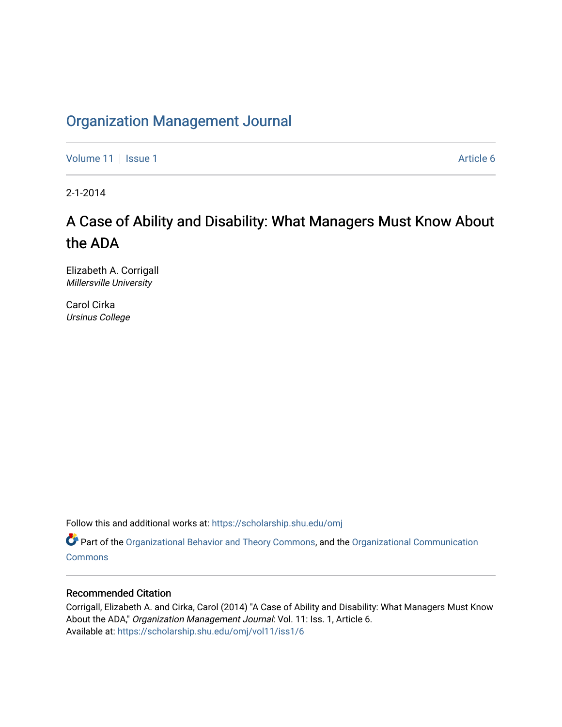# [Organization Management Journal](https://scholarship.shu.edu/omj)

[Volume 11](https://scholarship.shu.edu/omj/vol11) | [Issue 1](https://scholarship.shu.edu/omj/vol11/iss1) Article 6

2-1-2014

# A Case of Ability and Disability: What Managers Must Know About the ADA

Elizabeth A. Corrigall Millersville University

Carol Cirka Ursinus College

Follow this and additional works at: [https://scholarship.shu.edu/omj](https://scholarship.shu.edu/omj?utm_source=scholarship.shu.edu%2Fomj%2Fvol11%2Fiss1%2F6&utm_medium=PDF&utm_campaign=PDFCoverPages) 

Part of the [Organizational Behavior and Theory Commons,](http://network.bepress.com/hgg/discipline/639?utm_source=scholarship.shu.edu%2Fomj%2Fvol11%2Fiss1%2F6&utm_medium=PDF&utm_campaign=PDFCoverPages) and the [Organizational Communication](http://network.bepress.com/hgg/discipline/335?utm_source=scholarship.shu.edu%2Fomj%2Fvol11%2Fiss1%2F6&utm_medium=PDF&utm_campaign=PDFCoverPages) **[Commons](http://network.bepress.com/hgg/discipline/335?utm_source=scholarship.shu.edu%2Fomj%2Fvol11%2Fiss1%2F6&utm_medium=PDF&utm_campaign=PDFCoverPages)** 

# Recommended Citation

Corrigall, Elizabeth A. and Cirka, Carol (2014) "A Case of Ability and Disability: What Managers Must Know About the ADA," Organization Management Journal: Vol. 11: Iss. 1, Article 6. Available at: [https://scholarship.shu.edu/omj/vol11/iss1/6](https://scholarship.shu.edu/omj/vol11/iss1/6?utm_source=scholarship.shu.edu%2Fomj%2Fvol11%2Fiss1%2F6&utm_medium=PDF&utm_campaign=PDFCoverPages)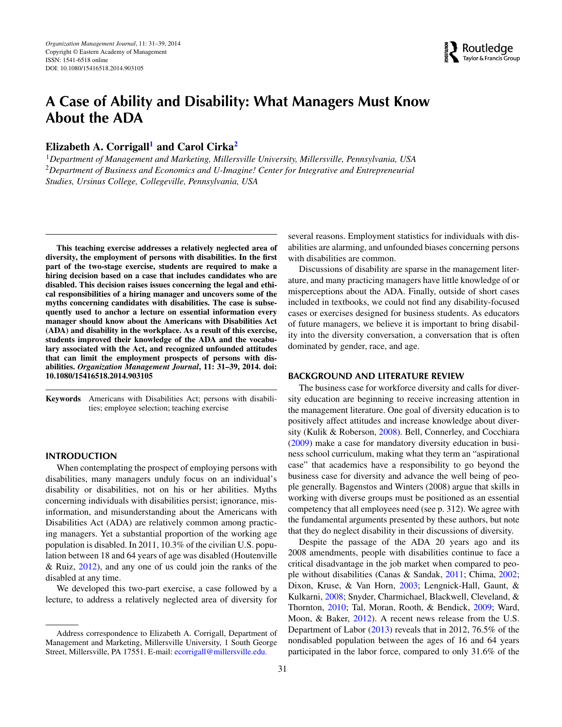

# **A Case of Ability and Disability: What Managers Must Know About the ADA**

# **Elizabeth A. Corrigal[l1](#page-1-0) and Carol Cirka[2](#page-1-0)**

<span id="page-1-0"></span><sup>1</sup>*Department of Management and Marketing, Millersville University, Millersville, Pennsylvania, USA* <sup>2</sup>*Department of Business and Economics and U-Imagine! Center for Integrative and Entrepreneurial Studies, Ursinus College, Collegeville, Pennsylvania, USA*

**This teaching exercise addresses a relatively neglected area of diversity, the employment of persons with disabilities. In the first part of the two-stage exercise, students are required to make a hiring decision based on a case that includes candidates who are disabled. This decision raises issues concerning the legal and ethical responsibilities of a hiring manager and uncovers some of the myths concerning candidates with disabilities. The case is subsequently used to anchor a lecture on essential information every manager should know about the Americans with Disabilities Act (ADA) and disability in the workplace. As a result of this exercise, students improved their knowledge of the ADA and the vocabulary associated with the Act, and recognized unfounded attitudes that can limit the employment prospects of persons with disabilities.** *Organization Management Journal***, 11: 31–39, 2014. doi: 10.1080/15416518.2014.903105**

**Keywords** Americans with Disabilities Act; persons with disabilities; employee selection; teaching exercise

#### **INTRODUCTION**

When contemplating the prospect of employing persons with disabilities, many managers unduly focus on an individual's disability or disabilities, not on his or her abilities. Myths concerning individuals with disabilities persist; ignorance, misinformation, and misunderstanding about the Americans with Disabilities Act (ADA) are relatively common among practicing managers. Yet a substantial proportion of the working age population is disabled. In 2011, 10.3% of the civilian U.S. population between 18 and 64 years of age was disabled (Houtenville & Ruiz, [2012\)](#page-7-0), and any one of us could join the ranks of the disabled at any time.

We developed this two-part exercise, a case followed by a lecture, to address a relatively neglected area of diversity for

several reasons. Employment statistics for individuals with disabilities are alarming, and unfounded biases concerning persons with disabilities are common.

Discussions of disability are sparse in the management literature, and many practicing managers have little knowledge of or misperceptions about the ADA. Finally, outside of short cases included in textbooks, we could not find any disability-focused cases or exercises designed for business students. As educators of future managers, we believe it is important to bring disability into the diversity conversation, a conversation that is often dominated by gender, race, and age.

#### **BACKGROUND AND LITERATURE REVIEW**

The business case for workforce diversity and calls for diversity education are beginning to receive increasing attention in the management literature. One goal of diversity education is to positively affect attitudes and increase knowledge about diversity (Kulik & Roberson, [2008\)](#page-7-1). Bell, Connerley, and Cocchiara [\(2009\)](#page-7-2) make a case for mandatory diversity education in business school curriculum, making what they term an "aspirational case" that academics have a responsibility to go beyond the business case for diversity and advance the well being of people generally. Bagenstos and Winters (2008) argue that skills in working with diverse groups must be positioned as an essential competency that all employees need (see p. 312). We agree with the fundamental arguments presented by these authors, but note that they do neglect disability in their discussions of diversity.

Despite the passage of the ADA 20 years ago and its 2008 amendments, people with disabilities continue to face a critical disadvantage in the job market when compared to people without disabilities (Canas & Sandak, [2011;](#page-7-3) Chima, [2002;](#page-7-4) Dixon, Kruse, & Van Horn, [2003;](#page-7-5) Lengnick-Hall, Gaunt, & Kulkarni, [2008;](#page-7-6) Snyder, Charmichael, Blackwell, Cleveland, & Thornton, [2010;](#page-7-7) Tal, Moran, Rooth, & Bendick, [2009;](#page-7-8) Ward, Moon, & Baker, [2012\)](#page-7-9). A recent news release from the U.S. Department of Labor [\(2013\)](#page-7-10) reveals that in 2012, 76.5% of the nondisabled population between the ages of 16 and 64 years participated in the labor force, compared to only 31.6% of the

Address correspondence to Elizabeth A. Corrigall, Department of Management and Marketing, Millersville University, 1 South George Street, Millersville, PA 17551. E-mail: ecorrigall@millersville.edu.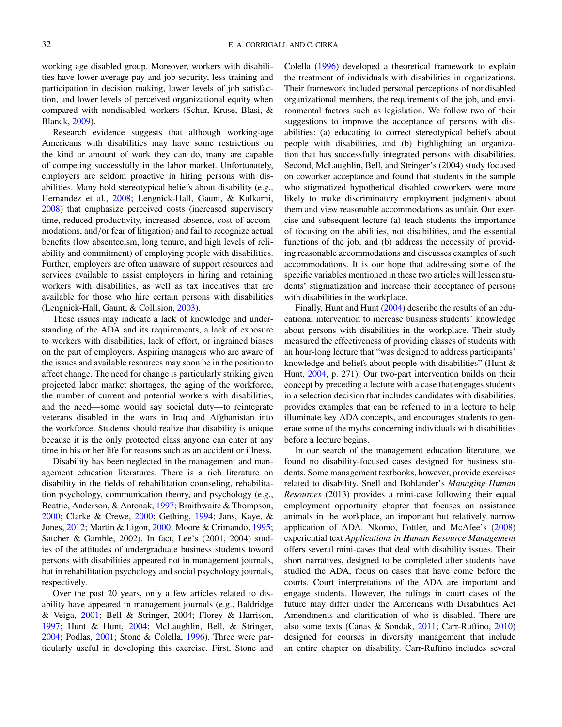working age disabled group. Moreover, workers with disabilities have lower average pay and job security, less training and participation in decision making, lower levels of job satisfaction, and lower levels of perceived organizational equity when compared with nondisabled workers (Schur, Kruse, Blasi, & Blanck, [2009\)](#page-7-11).

Research evidence suggests that although working-age Americans with disabilities may have some restrictions on the kind or amount of work they can do, many are capable of competing successfully in the labor market. Unfortunately, employers are seldom proactive in hiring persons with disabilities. Many hold stereotypical beliefs about disability (e.g., Hernandez et al., [2008;](#page-7-12) Lengnick-Hall, Gaunt, & Kulkarni, [2008\)](#page-7-6) that emphasize perceived costs (increased supervisory time, reduced productivity, increased absence, cost of accommodations, and*/*or fear of litigation) and fail to recognize actual benefits (low absenteeism, long tenure, and high levels of reliability and commitment) of employing people with disabilities. Further, employers are often unaware of support resources and services available to assist employers in hiring and retaining workers with disabilities, as well as tax incentives that are available for those who hire certain persons with disabilities (Lengnick-Hall, Gaunt, & Collision, [2003\)](#page-7-13).

These issues may indicate a lack of knowledge and understanding of the ADA and its requirements, a lack of exposure to workers with disabilities, lack of effort, or ingrained biases on the part of employers. Aspiring managers who are aware of the issues and available resources may soon be in the position to affect change. The need for change is particularly striking given projected labor market shortages, the aging of the workforce, the number of current and potential workers with disabilities, and the need—some would say societal duty—to reintegrate veterans disabled in the wars in Iraq and Afghanistan into the workforce. Students should realize that disability is unique because it is the only protected class anyone can enter at any time in his or her life for reasons such as an accident or illness.

Disability has been neglected in the management and management education literatures. There is a rich literature on disability in the fields of rehabilitation counseling, rehabilitation psychology, communication theory, and psychology (e.g., Beattie, Anderson, & Antonak, [1997;](#page-7-14) Braithwaite & Thompson, [2000;](#page-7-15) Clarke & Crewe, [2000;](#page-7-16) Gething, [1994;](#page-7-17) Jans, Kaye, & Jones, [2012;](#page-7-18) Martin & Ligon, [2000;](#page-7-19) Moore & Crimando, [1995;](#page-7-20) Satcher & Gamble, 2002). In fact, Lee's (2001, 2004) studies of the attitudes of undergraduate business students toward persons with disabilities appeared not in management journals, but in rehabilitation psychology and social psychology journals, respectively.

Over the past 20 years, only a few articles related to disability have appeared in management journals (e.g., Baldridge & Veiga, [2001;](#page-7-21) Bell & Stringer, 2004; Florey & Harrison, [1997;](#page-7-22) Hunt & Hunt, [2004;](#page-7-23) McLaughlin, Bell, & Stringer, [2004;](#page-7-24) Podlas, [2001;](#page-7-25) Stone & Colella, [1996\)](#page-7-26). Three were particularly useful in developing this exercise. First, Stone and Colella [\(1996\)](#page-7-26) developed a theoretical framework to explain the treatment of individuals with disabilities in organizations. Their framework included personal perceptions of nondisabled organizational members, the requirements of the job, and environmental factors such as legislation. We follow two of their suggestions to improve the acceptance of persons with disabilities: (a) educating to correct stereotypical beliefs about people with disabilities, and (b) highlighting an organization that has successfully integrated persons with disabilities. Second, McLaughlin, Bell, and Stringer's (2004) study focused on coworker acceptance and found that students in the sample who stigmatized hypothetical disabled coworkers were more likely to make discriminatory employment judgments about them and view reasonable accommodations as unfair. Our exercise and subsequent lecture (a) teach students the importance of focusing on the abilities, not disabilities, and the essential functions of the job, and (b) address the necessity of providing reasonable accommodations and discusses examples of such accommodations. It is our hope that addressing some of the specific variables mentioned in these two articles will lessen students' stigmatization and increase their acceptance of persons with disabilities in the workplace.

Finally, Hunt and Hunt [\(2004\)](#page-7-23) describe the results of an educational intervention to increase business students' knowledge about persons with disabilities in the workplace. Their study measured the effectiveness of providing classes of students with an hour-long lecture that "was designed to address participants' knowledge and beliefs about people with disabilities" (Hunt & Hunt, [2004,](#page-7-23) p. 271). Our two-part intervention builds on their concept by preceding a lecture with a case that engages students in a selection decision that includes candidates with disabilities, provides examples that can be referred to in a lecture to help illuminate key ADA concepts, and encourages students to generate some of the myths concerning individuals with disabilities before a lecture begins.

In our search of the management education literature, we found no disability-focused cases designed for business students. Some management textbooks, however, provide exercises related to disability. Snell and Bohlander's *Managing Human Resources* (2013) provides a mini-case following their equal employment opportunity chapter that focuses on assistance animals in the workplace, an important but relatively narrow application of ADA. Nkomo, Fottler, and McAfee's [\(2008\)](#page-7-27) experiential text *Applications in Human Resource Management* offers several mini-cases that deal with disability issues. Their short narratives, designed to be completed after students have studied the ADA, focus on cases that have come before the courts. Court interpretations of the ADA are important and engage students. However, the rulings in court cases of the future may differ under the Americans with Disabilities Act Amendments and clarification of who is disabled. There are also some texts (Canas & Sondak, [2011;](#page-7-3) Carr-Ruffino, [2010\)](#page-7-28) designed for courses in diversity management that include an entire chapter on disability. Carr-Ruffino includes several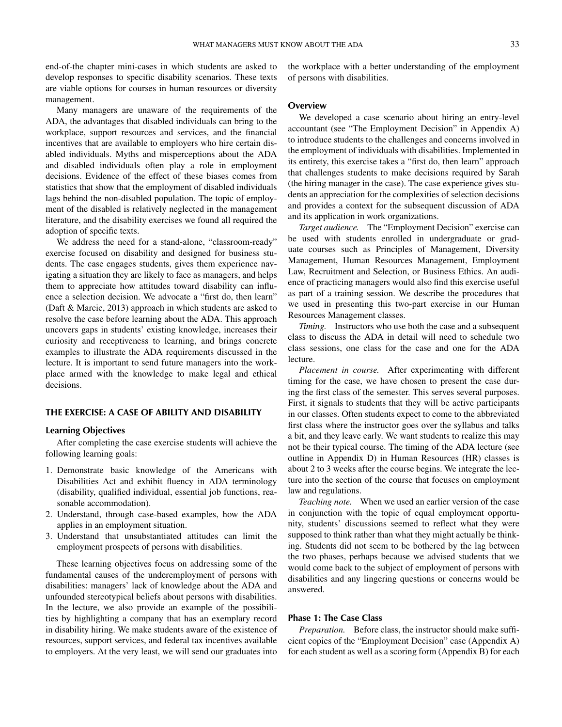end-of-the chapter mini-cases in which students are asked to develop responses to specific disability scenarios. These texts are viable options for courses in human resources or diversity management.

Many managers are unaware of the requirements of the ADA, the advantages that disabled individuals can bring to the workplace, support resources and services, and the financial incentives that are available to employers who hire certain disabled individuals. Myths and misperceptions about the ADA and disabled individuals often play a role in employment decisions. Evidence of the effect of these biases comes from statistics that show that the employment of disabled individuals lags behind the non-disabled population. The topic of employment of the disabled is relatively neglected in the management literature, and the disability exercises we found all required the adoption of specific texts.

We address the need for a stand-alone, "classroom-ready" exercise focused on disability and designed for business students. The case engages students, gives them experience navigating a situation they are likely to face as managers, and helps them to appreciate how attitudes toward disability can influence a selection decision. We advocate a "first do, then learn" (Daft & Marcic, 2013) approach in which students are asked to resolve the case before learning about the ADA. This approach uncovers gaps in students' existing knowledge, increases their curiosity and receptiveness to learning, and brings concrete examples to illustrate the ADA requirements discussed in the lecture. It is important to send future managers into the workplace armed with the knowledge to make legal and ethical decisions.

#### **THE EXERCISE: A CASE OF ABILITY AND DISABILITY**

## **Learning Objectives**

After completing the case exercise students will achieve the following learning goals:

- 1. Demonstrate basic knowledge of the Americans with Disabilities Act and exhibit fluency in ADA terminology (disability, qualified individual, essential job functions, reasonable accommodation).
- 2. Understand, through case-based examples, how the ADA applies in an employment situation.
- 3. Understand that unsubstantiated attitudes can limit the employment prospects of persons with disabilities.

These learning objectives focus on addressing some of the fundamental causes of the underemployment of persons with disabilities: managers' lack of knowledge about the ADA and unfounded stereotypical beliefs about persons with disabilities. In the lecture, we also provide an example of the possibilities by highlighting a company that has an exemplary record in disability hiring. We make students aware of the existence of resources, support services, and federal tax incentives available to employers. At the very least, we will send our graduates into the workplace with a better understanding of the employment of persons with disabilities.

#### **Overview**

We developed a case scenario about hiring an entry-level accountant (see "The Employment Decision" in Appendix A) to introduce students to the challenges and concerns involved in the employment of individuals with disabilities. Implemented in its entirety, this exercise takes a "first do, then learn" approach that challenges students to make decisions required by Sarah (the hiring manager in the case). The case experience gives students an appreciation for the complexities of selection decisions and provides a context for the subsequent discussion of ADA and its application in work organizations.

*Target audience.* The "Employment Decision" exercise can be used with students enrolled in undergraduate or graduate courses such as Principles of Management, Diversity Management, Human Resources Management, Employment Law, Recruitment and Selection, or Business Ethics. An audience of practicing managers would also find this exercise useful as part of a training session. We describe the procedures that we used in presenting this two-part exercise in our Human Resources Management classes.

*Timing.* Instructors who use both the case and a subsequent class to discuss the ADA in detail will need to schedule two class sessions, one class for the case and one for the ADA lecture.

*Placement in course.* After experimenting with different timing for the case, we have chosen to present the case during the first class of the semester. This serves several purposes. First, it signals to students that they will be active participants in our classes. Often students expect to come to the abbreviated first class where the instructor goes over the syllabus and talks a bit, and they leave early. We want students to realize this may not be their typical course. The timing of the ADA lecture (see outline in Appendix D) in Human Resources (HR) classes is about 2 to 3 weeks after the course begins. We integrate the lecture into the section of the course that focuses on employment law and regulations.

*Teaching note.* When we used an earlier version of the case in conjunction with the topic of equal employment opportunity, students' discussions seemed to reflect what they were supposed to think rather than what they might actually be thinking. Students did not seem to be bothered by the lag between the two phases, perhaps because we advised students that we would come back to the subject of employment of persons with disabilities and any lingering questions or concerns would be answered.

#### **Phase 1: The Case Class**

*Preparation.* Before class, the instructor should make sufficient copies of the "Employment Decision" case (Appendix A) for each student as well as a scoring form (Appendix B) for each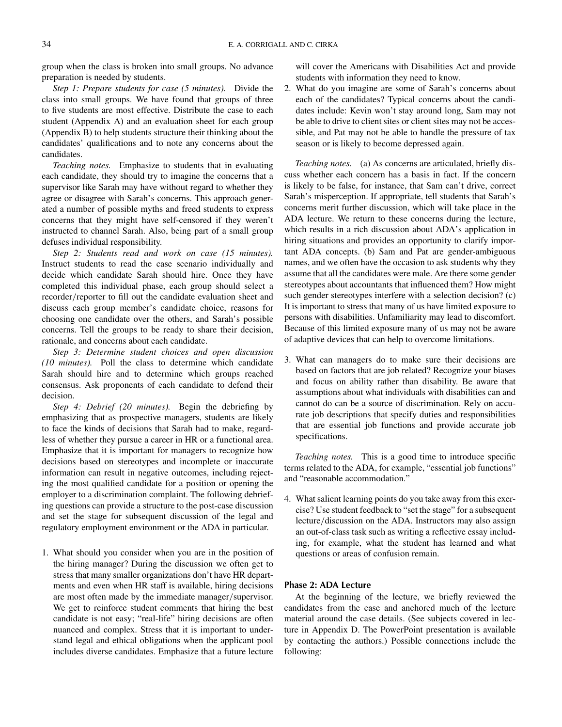group when the class is broken into small groups. No advance preparation is needed by students.

*Step 1: Prepare students for case (5 minutes).* Divide the class into small groups. We have found that groups of three to five students are most effective. Distribute the case to each student (Appendix A) and an evaluation sheet for each group (Appendix B) to help students structure their thinking about the candidates' qualifications and to note any concerns about the candidates.

*Teaching notes.* Emphasize to students that in evaluating each candidate, they should try to imagine the concerns that a supervisor like Sarah may have without regard to whether they agree or disagree with Sarah's concerns. This approach generated a number of possible myths and freed students to express concerns that they might have self-censored if they weren't instructed to channel Sarah. Also, being part of a small group defuses individual responsibility.

*Step 2: Students read and work on case (15 minutes).* Instruct students to read the case scenario individually and decide which candidate Sarah should hire. Once they have completed this individual phase, each group should select a recorder*/*reporter to fill out the candidate evaluation sheet and discuss each group member's candidate choice, reasons for choosing one candidate over the others, and Sarah's possible concerns. Tell the groups to be ready to share their decision, rationale, and concerns about each candidate.

*Step 3: Determine student choices and open discussion (10 minutes).* Poll the class to determine which candidate Sarah should hire and to determine which groups reached consensus. Ask proponents of each candidate to defend their decision.

*Step 4: Debrief (20 minutes).* Begin the debriefing by emphasizing that as prospective managers, students are likely to face the kinds of decisions that Sarah had to make, regardless of whether they pursue a career in HR or a functional area. Emphasize that it is important for managers to recognize how decisions based on stereotypes and incomplete or inaccurate information can result in negative outcomes, including rejecting the most qualified candidate for a position or opening the employer to a discrimination complaint. The following debriefing questions can provide a structure to the post-case discussion and set the stage for subsequent discussion of the legal and regulatory employment environment or the ADA in particular.

1. What should you consider when you are in the position of the hiring manager? During the discussion we often get to stress that many smaller organizations don't have HR departments and even when HR staff is available, hiring decisions are most often made by the immediate manager*/*supervisor. We get to reinforce student comments that hiring the best candidate is not easy; "real-life" hiring decisions are often nuanced and complex. Stress that it is important to understand legal and ethical obligations when the applicant pool includes diverse candidates. Emphasize that a future lecture

will cover the Americans with Disabilities Act and provide students with information they need to know.

2. What do you imagine are some of Sarah's concerns about each of the candidates? Typical concerns about the candidates include: Kevin won't stay around long, Sam may not be able to drive to client sites or client sites may not be accessible, and Pat may not be able to handle the pressure of tax season or is likely to become depressed again.

*Teaching notes.* (a) As concerns are articulated, briefly discuss whether each concern has a basis in fact. If the concern is likely to be false, for instance, that Sam can't drive, correct Sarah's misperception. If appropriate, tell students that Sarah's concerns merit further discussion, which will take place in the ADA lecture. We return to these concerns during the lecture, which results in a rich discussion about ADA's application in hiring situations and provides an opportunity to clarify important ADA concepts. (b) Sam and Pat are gender-ambiguous names, and we often have the occasion to ask students why they assume that all the candidates were male. Are there some gender stereotypes about accountants that influenced them? How might such gender stereotypes interfere with a selection decision? (c) It is important to stress that many of us have limited exposure to persons with disabilities. Unfamiliarity may lead to discomfort. Because of this limited exposure many of us may not be aware of adaptive devices that can help to overcome limitations.

3. What can managers do to make sure their decisions are based on factors that are job related? Recognize your biases and focus on ability rather than disability. Be aware that assumptions about what individuals with disabilities can and cannot do can be a source of discrimination. Rely on accurate job descriptions that specify duties and responsibilities that are essential job functions and provide accurate job specifications.

*Teaching notes.* This is a good time to introduce specific terms related to the ADA, for example, "essential job functions" and "reasonable accommodation."

4. What salient learning points do you take away from this exercise? Use student feedback to "set the stage" for a subsequent lecture*/*discussion on the ADA. Instructors may also assign an out-of-class task such as writing a reflective essay including, for example, what the student has learned and what questions or areas of confusion remain.

#### **Phase 2: ADA Lecture**

At the beginning of the lecture, we briefly reviewed the candidates from the case and anchored much of the lecture material around the case details. (See subjects covered in lecture in Appendix D. The PowerPoint presentation is available by contacting the authors.) Possible connections include the following: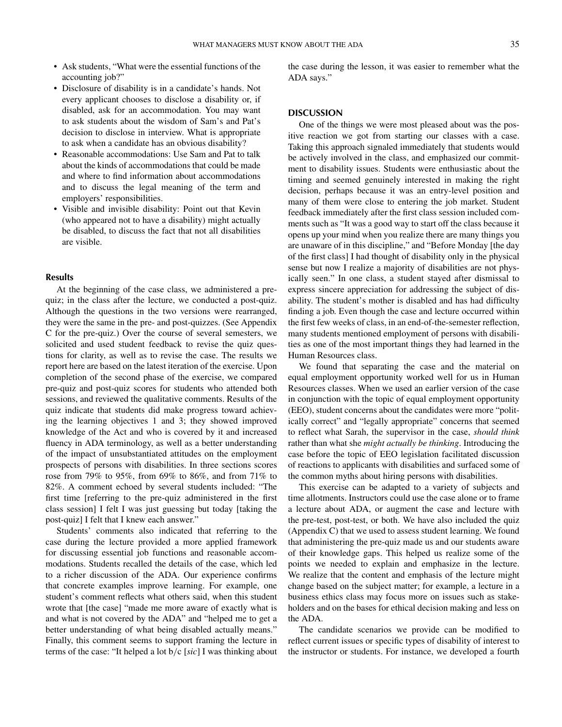- Ask students, "What were the essential functions of the accounting job?"
- Disclosure of disability is in a candidate's hands. Not every applicant chooses to disclose a disability or, if disabled, ask for an accommodation. You may want to ask students about the wisdom of Sam's and Pat's decision to disclose in interview. What is appropriate to ask when a candidate has an obvious disability?
- Reasonable accommodations: Use Sam and Pat to talk about the kinds of accommodations that could be made and where to find information about accommodations and to discuss the legal meaning of the term and employers' responsibilities.
- Visible and invisible disability: Point out that Kevin (who appeared not to have a disability) might actually be disabled, to discuss the fact that not all disabilities are visible.

### **Results**

At the beginning of the case class, we administered a prequiz; in the class after the lecture, we conducted a post-quiz. Although the questions in the two versions were rearranged, they were the same in the pre- and post-quizzes. (See Appendix C for the pre-quiz.) Over the course of several semesters, we solicited and used student feedback to revise the quiz questions for clarity, as well as to revise the case. The results we report here are based on the latest iteration of the exercise. Upon completion of the second phase of the exercise, we compared pre-quiz and post-quiz scores for students who attended both sessions, and reviewed the qualitative comments. Results of the quiz indicate that students did make progress toward achieving the learning objectives 1 and 3; they showed improved knowledge of the Act and who is covered by it and increased fluency in ADA terminology, as well as a better understanding of the impact of unsubstantiated attitudes on the employment prospects of persons with disabilities. In three sections scores rose from 79% to 95%, from 69% to 86%, and from 71% to 82%. A comment echoed by several students included: "The first time [referring to the pre-quiz administered in the first class session] I felt I was just guessing but today [taking the post-quiz] I felt that I knew each answer."

Students' comments also indicated that referring to the case during the lecture provided a more applied framework for discussing essential job functions and reasonable accommodations. Students recalled the details of the case, which led to a richer discussion of the ADA. Our experience confirms that concrete examples improve learning. For example, one student's comment reflects what others said, when this student wrote that [the case] "made me more aware of exactly what is and what is not covered by the ADA" and "helped me to get a better understanding of what being disabled actually means." Finally, this comment seems to support framing the lecture in terms of the case: "It helped a lot b*/*c [*sic*] I was thinking about the case during the lesson, it was easier to remember what the ADA says."

#### **DISCUSSION**

One of the things we were most pleased about was the positive reaction we got from starting our classes with a case. Taking this approach signaled immediately that students would be actively involved in the class, and emphasized our commitment to disability issues. Students were enthusiastic about the timing and seemed genuinely interested in making the right decision, perhaps because it was an entry-level position and many of them were close to entering the job market. Student feedback immediately after the first class session included comments such as "It was a good way to start off the class because it opens up your mind when you realize there are many things you are unaware of in this discipline," and "Before Monday [the day of the first class] I had thought of disability only in the physical sense but now I realize a majority of disabilities are not physically seen." In one class, a student stayed after dismissal to express sincere appreciation for addressing the subject of disability. The student's mother is disabled and has had difficulty finding a job. Even though the case and lecture occurred within the first few weeks of class, in an end-of-the-semester reflection, many students mentioned employment of persons with disabilities as one of the most important things they had learned in the Human Resources class.

We found that separating the case and the material on equal employment opportunity worked well for us in Human Resources classes. When we used an earlier version of the case in conjunction with the topic of equal employment opportunity (EEO), student concerns about the candidates were more "politically correct" and "legally appropriate" concerns that seemed to reflect what Sarah, the supervisor in the case, *should think* rather than what she *might actually be thinking*. Introducing the case before the topic of EEO legislation facilitated discussion of reactions to applicants with disabilities and surfaced some of the common myths about hiring persons with disabilities.

This exercise can be adapted to a variety of subjects and time allotments. Instructors could use the case alone or to frame a lecture about ADA, or augment the case and lecture with the pre-test, post-test, or both. We have also included the quiz (Appendix C) that we used to assess student learning. We found that administering the pre-quiz made us and our students aware of their knowledge gaps. This helped us realize some of the points we needed to explain and emphasize in the lecture. We realize that the content and emphasis of the lecture might change based on the subject matter; for example, a lecture in a business ethics class may focus more on issues such as stakeholders and on the bases for ethical decision making and less on the ADA.

The candidate scenarios we provide can be modified to reflect current issues or specific types of disability of interest to the instructor or students. For instance, we developed a fourth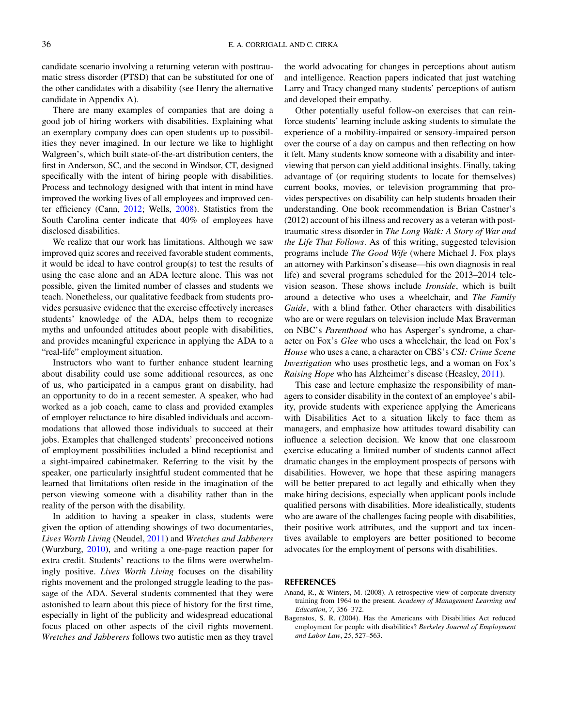candidate scenario involving a returning veteran with posttraumatic stress disorder (PTSD) that can be substituted for one of the other candidates with a disability (see Henry the alternative candidate in Appendix A).

There are many examples of companies that are doing a good job of hiring workers with disabilities. Explaining what an exemplary company does can open students up to possibilities they never imagined. In our lecture we like to highlight Walgreen's, which built state-of-the-art distribution centers, the first in Anderson, SC, and the second in Windsor, CT, designed specifically with the intent of hiring people with disabilities. Process and technology designed with that intent in mind have improved the working lives of all employees and improved center efficiency (Cann, [2012;](#page-7-29) Wells, [2008\)](#page-7-30). Statistics from the South Carolina center indicate that 40% of employees have disclosed disabilities.

We realize that our work has limitations. Although we saw improved quiz scores and received favorable student comments, it would be ideal to have control group(s) to test the results of using the case alone and an ADA lecture alone. This was not possible, given the limited number of classes and students we teach. Nonetheless, our qualitative feedback from students provides persuasive evidence that the exercise effectively increases students' knowledge of the ADA, helps them to recognize myths and unfounded attitudes about people with disabilities, and provides meaningful experience in applying the ADA to a "real-life" employment situation.

Instructors who want to further enhance student learning about disability could use some additional resources, as one of us, who participated in a campus grant on disability, had an opportunity to do in a recent semester. A speaker, who had worked as a job coach, came to class and provided examples of employer reluctance to hire disabled individuals and accommodations that allowed those individuals to succeed at their jobs. Examples that challenged students' preconceived notions of employment possibilities included a blind receptionist and a sight-impaired cabinetmaker. Referring to the visit by the speaker, one particularly insightful student commented that he learned that limitations often reside in the imagination of the person viewing someone with a disability rather than in the reality of the person with the disability.

In addition to having a speaker in class, students were given the option of attending showings of two documentaries, *Lives Worth Living* (Neudel, [2011\)](#page-7-31) and *Wretches and Jabberers* (Wurzburg, [2010\)](#page-7-32), and writing a one-page reaction paper for extra credit. Students' reactions to the films were overwhelmingly positive. *Lives Worth Living* focuses on the disability rights movement and the prolonged struggle leading to the passage of the ADA. Several students commented that they were astonished to learn about this piece of history for the first time, especially in light of the publicity and widespread educational focus placed on other aspects of the civil rights movement. *Wretches and Jabberers* follows two autistic men as they travel the world advocating for changes in perceptions about autism and intelligence. Reaction papers indicated that just watching Larry and Tracy changed many students' perceptions of autism and developed their empathy.

Other potentially useful follow-on exercises that can reinforce students' learning include asking students to simulate the experience of a mobility-impaired or sensory-impaired person over the course of a day on campus and then reflecting on how it felt. Many students know someone with a disability and interviewing that person can yield additional insights. Finally, taking advantage of (or requiring students to locate for themselves) current books, movies, or television programming that provides perspectives on disability can help students broaden their understanding. One book recommendation is Brian Castner's (2012) account of his illness and recovery as a veteran with posttraumatic stress disorder in *The Long Walk: A Story of War and the Life That Follows*. As of this writing, suggested television programs include *The Good Wife* (where Michael J. Fox plays an attorney with Parkinson's disease—his own diagnosis in real life) and several programs scheduled for the 2013–2014 television season. These shows include *Ironside*, which is built around a detective who uses a wheelchair, and *The Family Guide*, with a blind father. Other characters with disabilities who are or were regulars on television include Max Braverman on NBC's *Parenthood* who has Asperger's syndrome, a character on Fox's *Glee* who uses a wheelchair, the lead on Fox's *House* who uses a cane, a character on CBS's *CSI: Crime Scene Investigation* who uses prosthetic legs, and a woman on Fox's *Raising Hope* who has Alzheimer's disease (Heasley, [2011\)](#page-7-33).

This case and lecture emphasize the responsibility of managers to consider disability in the context of an employee's ability, provide students with experience applying the Americans with Disabilities Act to a situation likely to face them as managers, and emphasize how attitudes toward disability can influence a selection decision. We know that one classroom exercise educating a limited number of students cannot affect dramatic changes in the employment prospects of persons with disabilities. However, we hope that these aspiring managers will be better prepared to act legally and ethically when they make hiring decisions, especially when applicant pools include qualified persons with disabilities. More idealistically, students who are aware of the challenges facing people with disabilities, their positive work attributes, and the support and tax incentives available to employers are better positioned to become advocates for the employment of persons with disabilities.

#### **REFERENCES**

- Anand, R., & Winters, M. (2008). A retrospective view of corporate diversity training from 1964 to the present. *Academy of Management Learning and Education*, *7*, 356–372.
- Bagenstos, S. R. (2004). Has the Americans with Disabilities Act reduced employment for people with disabilities? *Berkeley Journal of Employment and Labor Law*, *25*, 527–563.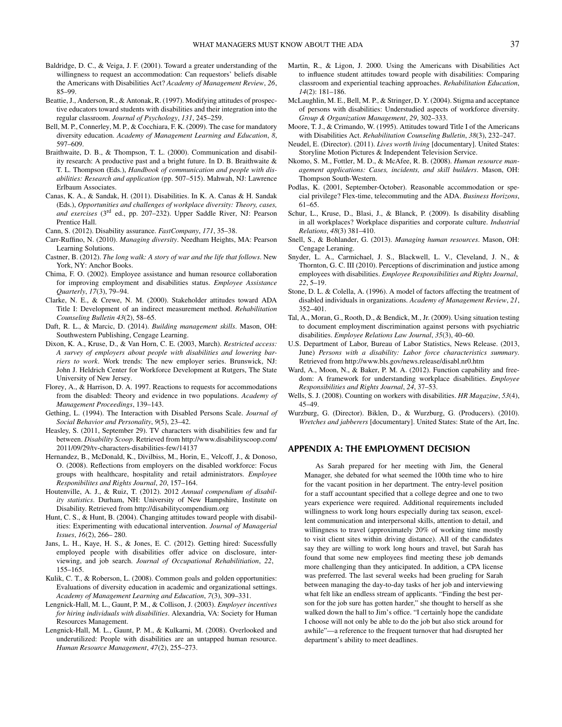- <span id="page-7-21"></span>Baldridge, D. C., & Veiga, J. F. (2001). Toward a greater understanding of the willingness to request an accommodation: Can requestors' beliefs disable the Americans with Disabilities Act? *Academy of Management Review*, *26*, 85–99.
- <span id="page-7-14"></span>Beattie, J., Anderson, R., & Antonak, R. (1997). Modifying attitudes of prospective educators toward students with disabilities and their integration into the regular classroom. *Journal of Psychology*, *131*, 245–259.
- <span id="page-7-2"></span>Bell, M. P., Connerley, M. P., & Cocchiara, F. K. (2009). The case for mandatory diversity education. *Academy of Management Learning and Education*, *8*, 597–609.
- <span id="page-7-15"></span>Braithwaite, D. B., & Thompson, T. L. (2000). Communication and disability research: A productive past and a bright future. In D. B. Braithwaite & T. L. Thompson (Eds.), *Handbook of communication and people with disabilities: Research and application* (pp. 507–515). Mahwah, NJ: Lawrence Erlbaum Associates.
- <span id="page-7-3"></span>Canas, K. A., & Sandak, H. (2011). Disabilities. In K. A. Canas & H. Sandak (Eds.), *Opportunities and challenges of workplace diversity: Theory, cases, and exercises* (3rd ed., pp. 207–232). Upper Saddle River, NJ: Pearson Prentice Hall.
- <span id="page-7-29"></span>Cann, S. (2012). Disability assurance. *FastCompany*, *171*, 35–38.
- <span id="page-7-28"></span>Carr-Ruffino, N. (2010). *Managing diversity*. Needham Heights, MA: Pearson Learning Solutions.
- Castner, B. (2012). *The long walk: A story of war and the life that follows*. New York, NY: Anchor Books.
- <span id="page-7-4"></span>Chima, F. O. (2002). Employee assistance and human resource collaboration for improving employment and disabilities status. *Employee Assistance Quarterly*, *17*(3), 79–94.
- <span id="page-7-16"></span>Clarke, N. E., & Crewe, N. M. (2000). Stakeholder attitudes toward ADA Title I: Development of an indirect measurement method. *Rehabilitation Counseling Bulletin 43*(2), 58–65.
- Daft, R. L., & Marcic, D. (2014). *Building management skills*. Mason, OH: Southwestern Publishing, Cengage Learning.
- <span id="page-7-5"></span>Dixon, K. A., Kruse, D., & Van Horn, C. E. (2003, March). *Restricted access: A survey of employers about people with disabilities and lowering barriers to work*. Work trends: The new employer series. Brunswick, NJ: John J. Heldrich Center for Workforce Development at Rutgers, The State University of New Jersey.
- <span id="page-7-22"></span>Florey, A., & Harrison, D. A. 1997. Reactions to requests for accommodations from the disabled: Theory and evidence in two populations. *Academy of Management Proceedings*, 139–143.
- <span id="page-7-17"></span>Gething, L. (1994). The Interaction with Disabled Persons Scale. *Journal of Social Behavior and Personality*, *9*(5), 23–42.
- <span id="page-7-33"></span>Heasley, S. (2011, September 29). TV characters with disabilities few and far between. *Disability Scoop*. Retrieved from [http://www.disabilityscoop.com/](http://www.disabilityscoop.com/2011/09/29/tv-characters-disabilities-few/14137) [2011/09/29/tv-characters-disabilities-few/14137](http://www.disabilityscoop.com/2011/09/29/tv-characters-disabilities-few/14137)
- <span id="page-7-12"></span>Hernandez, B., McDonald, K., Divilbiss, M., Horin, E., Velcoff, J., & Donoso, O. (2008). Reflections from employers on the disabled workforce: Focus groups with healthcare, hospitality and retail administrators. *Employee Responibilites and Rights Journal*, *20*, 157–164.
- <span id="page-7-0"></span>Houtenville, A. J., & Ruiz, T. (2012). 2012 *Annual compendium of disability statistics*. Durham, NH: University of New Hampshire, Institute on Disability. Retrieved from<http://disabilitycompendium.org>
- <span id="page-7-23"></span>Hunt, C. S., & Hunt, B. (2004). Changing attitudes toward people with disabilities: Experimenting with educational intervention. *Journal of Managerial Issues*, *16*(2), 266– 280.
- <span id="page-7-18"></span>Jans, L. H., Kaye, H. S., & Jones, E. C. (2012). Getting hired: Sucessfully employed people with disabilities offer advice on disclosure, interviewing, and job search. *Journal of Occupational Rehabilitiation*, *22*, 155–165.
- <span id="page-7-1"></span>Kulik, C. T., & Roberson, L. (2008). Common goals and golden opportunities: Evaluations of diversity education in academic and organizational settings. *Academy of Management Learning and Education*, *7*(3), 309–331.
- <span id="page-7-13"></span>Lengnick-Hall, M. L., Gaunt, P. M., & Collison, J. (2003). *Employer incentives for hiring individuals with disabilities*. Alexandria, VA: Society for Human Resources Management.
- <span id="page-7-6"></span>Lengnick-Hall, M. L., Gaunt, P. M., & Kulkarni, M. (2008). Overlooked and underutilized: People with disabilities are an untapped human resource. *Human Resource Management*, *47*(2), 255–273.
- <span id="page-7-19"></span>Martin, R., & Ligon, J. 2000. Using the Americans with Disabilities Act to influence student attitudes toward people with disabilities: Comparing classroom and experiential teaching approaches. *Rehabilitation Education*, *14*(2): 181–186.
- <span id="page-7-24"></span>McLaughlin, M. E., Bell, M. P., & Stringer, D. Y. (2004). Stigma and acceptance of persons with disabilities: Understudied aspects of workforce diversity. *Group & Organization Management*, *29*, 302–333.
- <span id="page-7-20"></span>Moore, T. J., & Crimando, W. (1995). Attitudes toward Title I of the Americans with Disabilities Act. *Rehabilitation Counseling Bulletin*, *38*(3), 232–247.
- <span id="page-7-31"></span>Neudel, E. (Director). (2011). *Lives worth living* [documentary]. United States: Storyline Motion Pictures & Independent Television Service.
- <span id="page-7-27"></span>Nkomo, S. M., Fottler, M. D., & McAfee, R. B. (2008). *Human resource management applications: Cases, incidents, and skill builders*. Mason, OH: Thompson South-Western.
- <span id="page-7-25"></span>Podlas, K. (2001, September-October). Reasonable accommodation or special privilege? Flex-time, telecommuting and the ADA. *Business Horizons*, 61–65.
- <span id="page-7-11"></span>Schur, L., Kruse, D., Blasi, J., & Blanck, P. (2009). Is disability disabling in all workplaces? Workplace disparities and corporate culture. *Industrial Relations*, *48*(3) 381–410.
- Snell, S., & Bohlander, G. (2013). *Managing human resources*. Mason, OH: Cengage Leraning.
- <span id="page-7-7"></span>Snyder, L. A., Carmichael, J. S., Blackwell, L. V., Cleveland, J. N., & Thornton, G. C. III (2010). Perceptions of discrimination and justice among employees with disabilities. *Employee Responsibilities and Rights Journal*, *22*, 5–19.
- <span id="page-7-26"></span>Stone, D. L. & Colella, A. (1996). A model of factors affecting the treatment of disabled individuals in organizations. *Academy of Management Review*, *21*, 352–401.
- <span id="page-7-8"></span>Tal, A., Moran, G., Rooth, D., & Bendick, M., Jr. (2009). Using situation testing to document employment discrimination against persons with psychiatric disabilities. *Employee Relations Law Journal*, *35*(3), 40–60.
- <span id="page-7-10"></span>U.S. Department of Labor, Bureau of Labor Statistics, News Release. (2013, June) *Persons with a disability: Labor force characteristics summary*. Retrieved from<http://www.bls.gov/news.release/disabl.nr0.htm>
- <span id="page-7-9"></span>Ward, A., Moon, N., & Baker, P. M. A. (2012). Function capability and freedom: A framework for understanding workplace disabilities. *Employee Responsibilities and Rights Journal*, *24*, 37–53.
- <span id="page-7-30"></span>Wells, S. J. (2008). Counting on workers with disabilities. *HR Magazine*, *53*(4), 45–49.
- <span id="page-7-32"></span>Wurzburg, G. (Director). Biklen, D., & Wurzburg, G. (Producers). (2010). *Wretches and jabberers* [documentary]. United States: State of the Art, Inc.

#### **APPENDIX A: THE EMPLOYMENT DECISION**

As Sarah prepared for her meeting with Jim, the General Manager, she debated for what seemed the 100th time who to hire for the vacant position in her department. The entry-level position for a staff accountant specified that a college degree and one to two years experience were required. Additional requirements included willingness to work long hours especially during tax season, excellent communication and interpersonal skills, attention to detail, and willingness to travel (approximately 20% of working time mostly to visit client sites within driving distance). All of the candidates say they are willing to work long hours and travel, but Sarah has found that some new employees find meeting these job demands more challenging than they anticipated. In addition, a CPA license was preferred. The last several weeks had been grueling for Sarah between managing the day-to-day tasks of her job and interviewing what felt like an endless stream of applicants. "Finding the best person for the job sure has gotten harder," she thought to herself as she walked down the hall to Jim's office. "I certainly hope the candidate I choose will not only be able to do the job but also stick around for awhile"—a reference to the frequent turnover that had disrupted her department's ability to meet deadlines.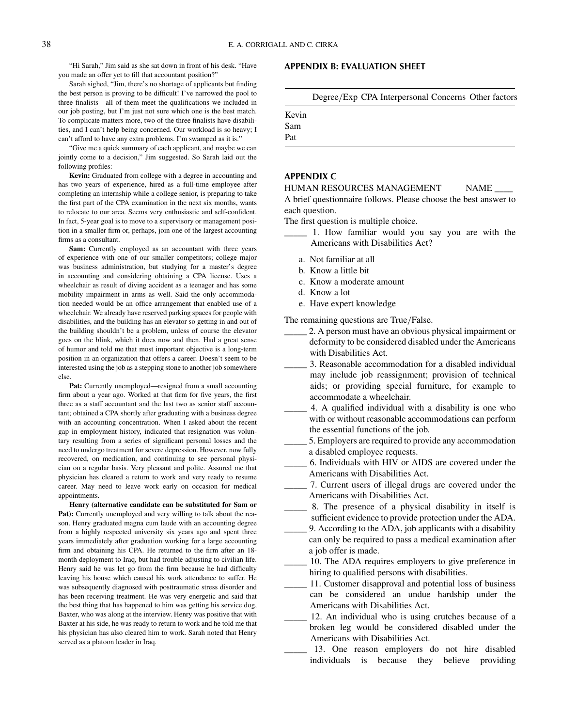"Hi Sarah," Jim said as she sat down in front of his desk. "Have you made an offer yet to fill that accountant position?"

Sarah sighed, "Jim, there's no shortage of applicants but finding the best person is proving to be difficult! I've narrowed the pool to three finalists—all of them meet the qualifications we included in our job posting, but I'm just not sure which one is the best match. To complicate matters more, two of the three finalists have disabilities, and I can't help being concerned. Our workload is so heavy; I can't afford to have any extra problems. I'm swamped as it is."

"Give me a quick summary of each applicant, and maybe we can jointly come to a decision," Jim suggested. So Sarah laid out the following profiles:

**Kevin:** Graduated from college with a degree in accounting and has two years of experience, hired as a full-time employee after completing an internship while a college senior, is preparing to take the first part of the CPA examination in the next six months, wants to relocate to our area. Seems very enthusiastic and self-confident. In fact, 5-year goal is to move to a supervisory or management position in a smaller firm or, perhaps, join one of the largest accounting firms as a consultant.

**Sam:** Currently employed as an accountant with three years of experience with one of our smaller competitors; college major was business administration, but studying for a master's degree in accounting and considering obtaining a CPA license. Uses a wheelchair as result of diving accident as a teenager and has some mobility impairment in arms as well. Said the only accommodation needed would be an office arrangement that enabled use of a wheelchair. We already have reserved parking spaces for people with disabilities, and the building has an elevator so getting in and out of the building shouldn't be a problem, unless of course the elevator goes on the blink, which it does now and then. Had a great sense of humor and told me that most important objective is a long-term position in an organization that offers a career. Doesn't seem to be interested using the job as a stepping stone to another job somewhere else.

Pat: Currently unemployed—resigned from a small accounting firm about a year ago. Worked at that firm for five years, the first three as a staff accountant and the last two as senior staff accountant; obtained a CPA shortly after graduating with a business degree with an accounting concentration. When I asked about the recent gap in employment history, indicated that resignation was voluntary resulting from a series of significant personal losses and the need to undergo treatment for severe depression. However, now fully recovered, on medication, and continuing to see personal physician on a regular basis. Very pleasant and polite. Assured me that physician has cleared a return to work and very ready to resume career. May need to leave work early on occasion for medical appointments.

**Henry (alternative candidate can be substituted for Sam or** Pat): Currently unemployed and very willing to talk about the reason. Henry graduated magna cum laude with an accounting degree from a highly respected university six years ago and spent three years immediately after graduation working for a large accounting firm and obtaining his CPA. He returned to the firm after an 18 month deployment to Iraq, but had trouble adjusting to civilian life. Henry said he was let go from the firm because he had difficulty leaving his house which caused his work attendance to suffer. He was subsequently diagnosed with posttraumatic stress disorder and has been receiving treatment. He was very energetic and said that the best thing that has happened to him was getting his service dog, Baxter, who was along at the interview. Henry was positive that with Baxter at his side, he was ready to return to work and he told me that his physician has also cleared him to work. Sarah noted that Henry served as a platoon leader in Iraq.

## **APPENDIX B: EVALUATION SHEET**

Degree*/*Exp CPA Interpersonal Concerns Other factors

Kevin

Sam

Pat

#### **APPENDIX C**

HUMAN RESOURCES MANAGEMENT NAME

A brief questionnaire follows. Please choose the best answer to each question.

The first question is multiple choice.

- \_\_\_\_\_ 1. How familiar would you say you are with the Americans with Disabilities Act?
	- a. Not familiar at all
	- b. Know a little bit
	- c. Know a moderate amount
	- d. Know a lot
	- e. Have expert knowledge

The remaining questions are True*/*False.

- \_\_\_\_\_ 2. A person must have an obvious physical impairment or deformity to be considered disabled under the Americans with Disabilities Act.
- 3. Reasonable accommodation for a disabled individual may include job reassignment; provision of technical aids; or providing special furniture, for example to accommodate a wheelchair.
- 4. A qualified individual with a disability is one who with or without reasonable accommodations can perform the essential functions of the job.
- \_\_\_\_\_ 5. Employers are required to provide any accommodation a disabled employee requests.
- \_\_\_\_\_ 6. Individuals with HIV or AIDS are covered under the Americans with Disabilities Act.
- \_\_\_\_\_ 7. Current users of illegal drugs are covered under the Americans with Disabilities Act.
- \_\_\_\_\_ 8. The presence of a physical disability in itself is sufficient evidence to provide protection under the ADA.
- \_\_\_\_\_ 9. According to the ADA, job applicants with a disability can only be required to pass a medical examination after a job offer is made.
- \_\_\_\_\_ 10. The ADA requires employers to give preference in hiring to qualified persons with disabilities.
- \_\_\_\_\_ 11. Customer disapproval and potential loss of business can be considered an undue hardship under the Americans with Disabilities Act.
- 12. An individual who is using crutches because of a broken leg would be considered disabled under the Americans with Disabilities Act.
- 13. One reason employers do not hire disabled individuals is because they believe providing